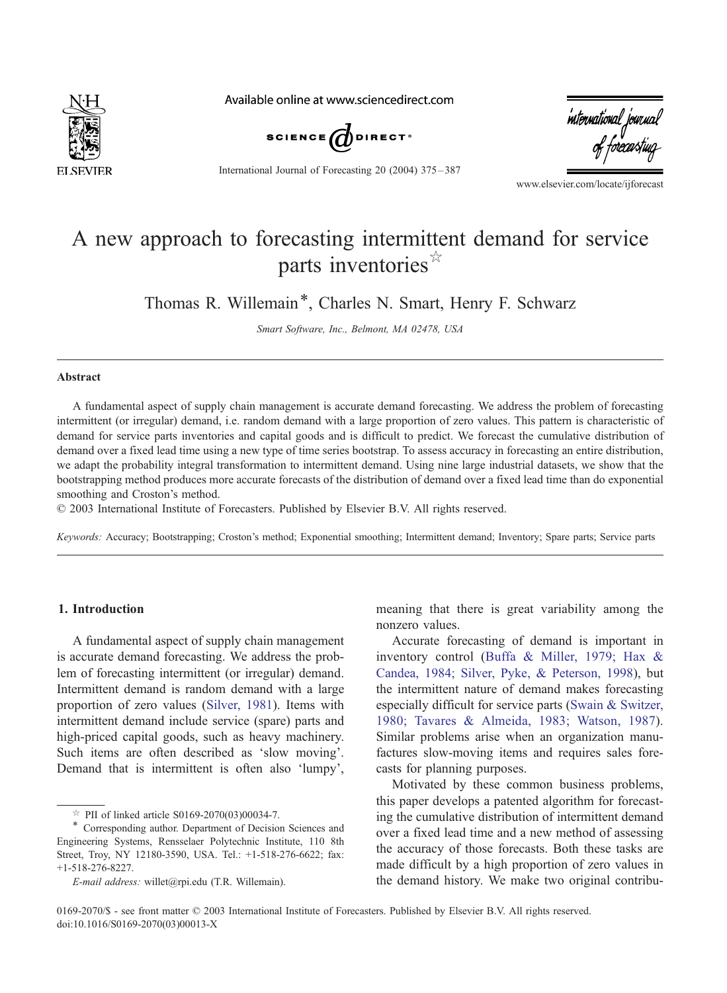

Available online at www.sciencedirect.com



International Journal of Forecasting 20 (2004) 375 – 387

international journa.<br>of forecasting

www.elsevier.com/locate/ijforecast

# A new approach to forecasting intermittent demand for service parts inventories  $\mathbb{R}$

Thomas R. Willemain\*, Charles N. Smart, Henry F. Schwarz

Smart Software, Inc., Belmont, MA 02478, USA

#### Abstract

A fundamental aspect of supply chain management is accurate demand forecasting. We address the problem of forecasting intermittent (or irregular) demand, i.e. random demand with a large proportion of zero values. This pattern is characteristic of demand for service parts inventories and capital goods and is difficult to predict. We forecast the cumulative distribution of demand over a fixed lead time using a new type of time series bootstrap. To assess accuracy in forecasting an entire distribution, we adapt the probability integral transformation to intermittent demand. Using nine large industrial datasets, we show that the bootstrapping method produces more accurate forecasts of the distribution of demand over a fixed lead time than do exponential smoothing and Croston's method.

© 2003 International Institute of Forecasters. Published by Elsevier B.V. All rights reserved.

Keywords: Accuracy; Bootstrapping; Croston's method; Exponential smoothing; Intermittent demand; Inventory; Spare parts; Service parts

## 1. Introduction

A fundamental aspect of supply chain management is accurate demand forecasting. We address the problem of forecasting intermittent (or irregular) demand. Intermittent demand is random demand with a large proportion of zero values ([Silver, 1981\)](#page-11-0). Items with intermittent demand include service (spare) parts and high-priced capital goods, such as heavy machinery. Such items are often described as 'slow moving'. Demand that is intermittent is often also 'lumpy',

meaning that there is great variability among the nonzero values.

Accurate forecasting of demand is important in inventory control ([Buffa & Miller, 1979; Hax &](#page-11-0) Candea, 1984; Silver, Pyke, & Peterson, 1998), but the intermittent nature of demand makes forecasting especially difficult for service parts ([Swain & Switzer,](#page-11-0) 1980; Tavares & Almeida, 1983; Watson, 1987). Similar problems arise when an organization manufactures slow-moving items and requires sales forecasts for planning purposes.

Motivated by these common business problems, this paper develops a patented algorithm for forecasting the cumulative distribution of intermittent demand over a fixed lead time and a new method of assessing the accuracy of those forecasts. Both these tasks are made difficult by a high proportion of zero values in the demand history. We make two original contribu-

 $*$  PII of linked article S0169-2070(03)00034-7.

<sup>\*</sup> Corresponding author. Department of Decision Sciences and Engineering Systems, Rensselaer Polytechnic Institute, 110 8th Street, Troy, NY 12180-3590, USA. Tel.: +1-518-276-6622; fax: +1-518-276-8227.

E-mail address: willet@rpi.edu (T.R. Willemain).

<sup>0169-2070/\$ -</sup> see front matter © 2003 International Institute of Forecasters. Published by Elsevier B.V. All rights reserved. doi:10.1016/S0169-2070(03)00013-X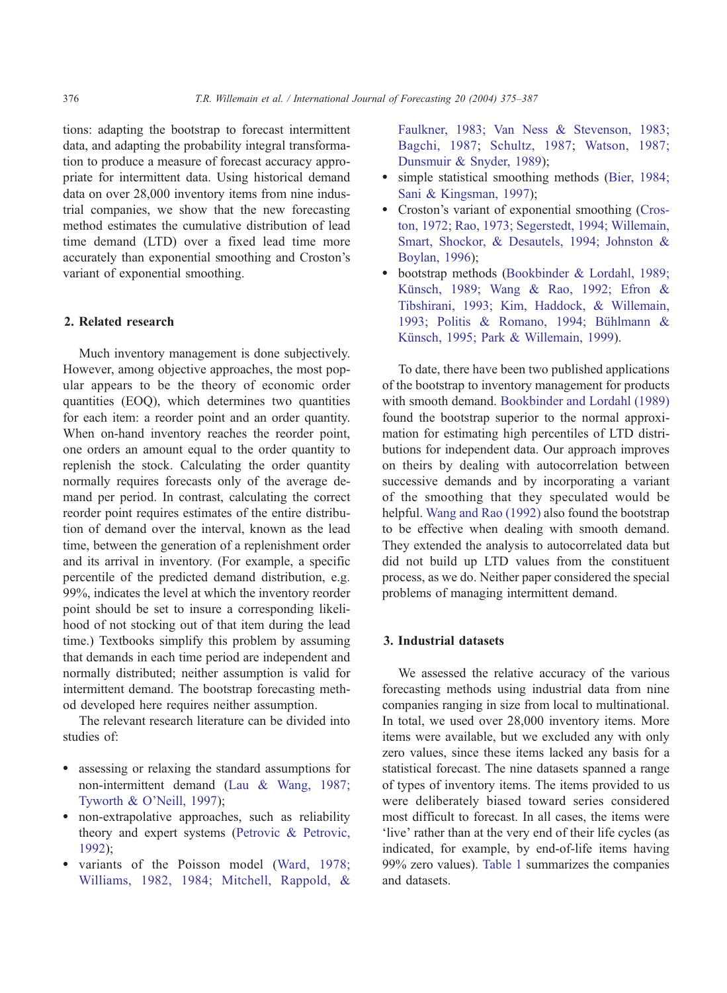tions: adapting the bootstrap to forecast intermittent data, and adapting the probability integral transformation to produce a measure of forecast accuracy appropriate for intermittent data. Using historical demand data on over 28,000 inventory items from nine industrial companies, we show that the new forecasting method estimates the cumulative distribution of lead time demand (LTD) over a fixed lead time more accurately than exponential smoothing and Croston's variant of exponential smoothing.

# 2. Related research

Much inventory management is done subjectively. However, among objective approaches, the most popular appears to be the theory of economic order quantities (EOQ), which determines two quantities for each item: a reorder point and an order quantity. When on-hand inventory reaches the reorder point, one orders an amount equal to the order quantity to replenish the stock. Calculating the order quantity normally requires forecasts only of the average demand per period. In contrast, calculating the correct reorder point requires estimates of the entire distribution of demand over the interval, known as the lead time, between the generation of a replenishment order and its arrival in inventory. (For example, a specific percentile of the predicted demand distribution, e.g. 99%, indicates the level at which the inventory reorder point should be set to insure a corresponding likelihood of not stocking out of that item during the lead time.) Textbooks simplify this problem by assuming that demands in each time period are independent and normally distributed; neither assumption is valid for intermittent demand. The bootstrap forecasting method developed here requires neither assumption.

The relevant research literature can be divided into studies of:

- assessing or relaxing the standard assumptions for non-intermittent demand ([Lau & Wang, 1987;](#page-11-0) Tyworth & O'Neill, 1997);
- non-extrapolative approaches, such as reliability theory and expert systems ([Petrovic & Petrovic,](#page-11-0) 1992);
- variants of the Poisson model ([Ward, 1978;](#page-12-0) Williams, 1982, 1984; Mitchell, Rappold, &

Faulkner, 1983; Van Ness & Stevenson, 1983; Bagchi, 1987; [Schultz, 1987;](#page-11-0) [Watson, 1987;](#page-12-0) Dunsmuir & Snyder, 1989);

- simple statistical smoothing methods ([Bier, 1984;](#page-11-0) Sani & Kingsman, 1997);
- Croston's variant of exponential smoothing ([Cros](#page-11-0)ton, 1972; Rao, 1973; Segerstedt, 1994; Willemain, Smart, Shockor, & Desautels, 1994; Johnston & Boylan, 1996);
- bootstrap methods ([Bookbinder & Lordahl, 1989;](#page-11-0) Künsch, 1989; Wang & Rao, 1992; Efron & Tibshirani, 1993; Kim, Haddock, & Willemain, 1993; Politis & Romano, 1994; Bühlmann & Künsch, 1995; Park & Willemain, 1999).

To date, there have been two published applications of the bootstrap to inventory management for products with smooth demand. [Bookbinder and Lordahl \(1989\)](#page-11-0) found the bootstrap superior to the normal approximation for estimating high percentiles of LTD distributions for independent data. Our approach improves on theirs by dealing with autocorrelation between successive demands and by incorporating a variant of the smoothing that they speculated would be helpful. [Wang and Rao \(1992\)](#page-12-0) also found the bootstrap to be effective when dealing with smooth demand. They extended the analysis to autocorrelated data but did not build up LTD values from the constituent process, as we do. Neither paper considered the special problems of managing intermittent demand.

## 3. Industrial datasets

We assessed the relative accuracy of the various forecasting methods using industrial data from nine companies ranging in size from local to multinational. In total, we used over 28,000 inventory items. More items were available, but we excluded any with only zero values, since these items lacked any basis for a statistical forecast. The nine datasets spanned a range of types of inventory items. The items provided to us were deliberately biased toward series considered most difficult to forecast. In all cases, the items were 'live' rather than at the very end of their life cycles (as indicated, for example, by end-of-life items having 99% zero values). [Table 1](#page-2-0) summarizes the companies and datasets.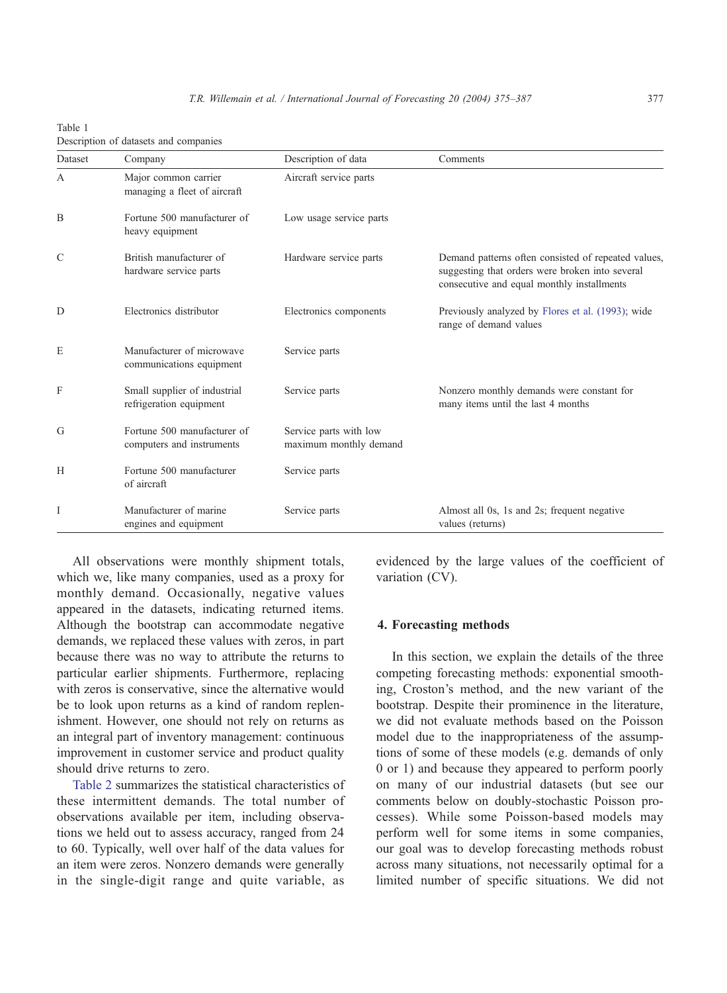<span id="page-2-0"></span>

| Table 1                               |  |  |
|---------------------------------------|--|--|
| Description of datasets and companies |  |  |

| Dataset | Company                                                  | Description of data                              | Comments                                                                                                                                             |
|---------|----------------------------------------------------------|--------------------------------------------------|------------------------------------------------------------------------------------------------------------------------------------------------------|
| А       | Major common carrier<br>managing a fleet of aircraft     | Aircraft service parts                           |                                                                                                                                                      |
| B       | Fortune 500 manufacturer of<br>heavy equipment           | Low usage service parts                          |                                                                                                                                                      |
| C       | British manufacturer of<br>hardware service parts        | Hardware service parts                           | Demand patterns often consisted of repeated values,<br>suggesting that orders were broken into several<br>consecutive and equal monthly installments |
| D       | Electronics distributor                                  | Electronics components                           | Previously analyzed by Flores et al. (1993); wide<br>range of demand values                                                                          |
| E       | Manufacturer of microwave<br>communications equipment    | Service parts                                    |                                                                                                                                                      |
| F       | Small supplier of industrial<br>refrigeration equipment  | Service parts                                    | Nonzero monthly demands were constant for<br>many items until the last 4 months                                                                      |
| G       | Fortune 500 manufacturer of<br>computers and instruments | Service parts with low<br>maximum monthly demand |                                                                                                                                                      |
| H       | Fortune 500 manufacturer<br>of aircraft                  | Service parts                                    |                                                                                                                                                      |
| I       | Manufacturer of marine<br>engines and equipment          | Service parts                                    | Almost all 0s, 1s and 2s; frequent negative<br>values (returns)                                                                                      |

All observations were monthly shipment totals, which we, like many companies, used as a proxy for monthly demand. Occasionally, negative values appeared in the datasets, indicating returned items. Although the bootstrap can accommodate negative demands, we replaced these values with zeros, in part because there was no way to attribute the returns to particular earlier shipments. Furthermore, replacing with zeros is conservative, since the alternative would be to look upon returns as a kind of random replenishment. However, one should not rely on returns as an integral part of inventory management: continuous improvement in customer service and product quality should drive returns to zero.

[Table 2](#page-3-0) summarizes the statistical characteristics of these intermittent demands. The total number of observations available per item, including observations we held out to assess accuracy, ranged from 24 to 60. Typically, well over half of the data values for an item were zeros. Nonzero demands were generally in the single-digit range and quite variable, as evidenced by the large values of the coefficient of variation (CV).

# 4. Forecasting methods

In this section, we explain the details of the three competing forecasting methods: exponential smoothing, Croston's method, and the new variant of the bootstrap. Despite their prominence in the literature, we did not evaluate methods based on the Poisson model due to the inappropriateness of the assumptions of some of these models (e.g. demands of only 0 or 1) and because they appeared to perform poorly on many of our industrial datasets (but see our comments below on doubly-stochastic Poisson processes). While some Poisson-based models may perform well for some items in some companies, our goal was to develop forecasting methods robust across many situations, not necessarily optimal for a limited number of specific situations. We did not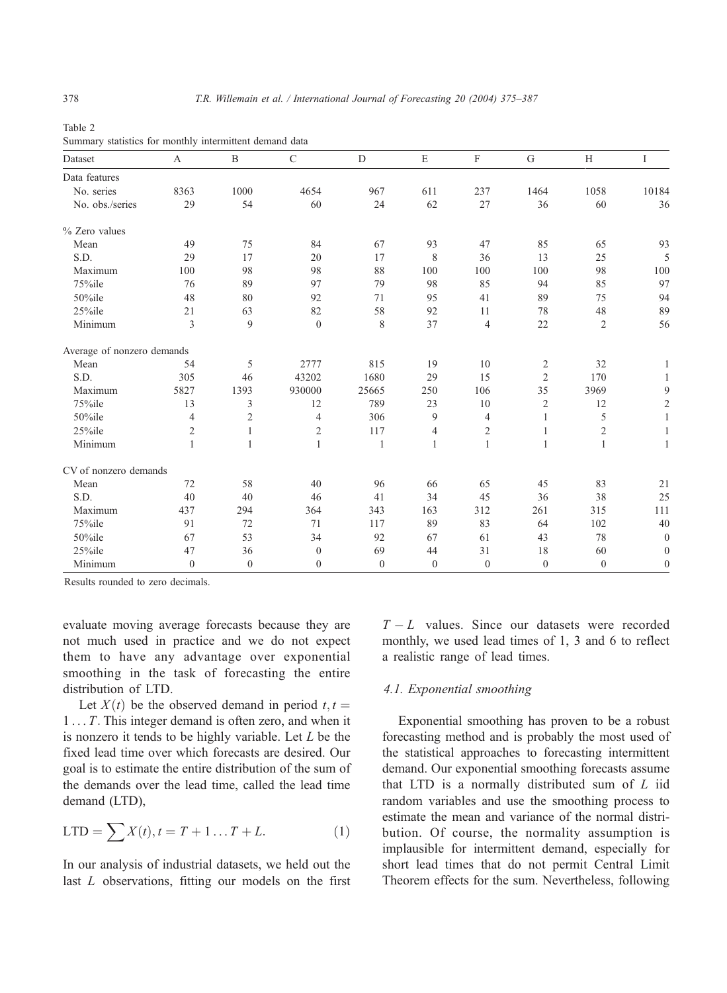| Dataset                    | A            | $\, {\bf B}$   | $\mathbf C$    | ${\rm D}$    | E        | $\mathbf F$    | G              | H              | I              |
|----------------------------|--------------|----------------|----------------|--------------|----------|----------------|----------------|----------------|----------------|
| Data features              |              |                |                |              |          |                |                |                |                |
| No. series                 | 8363         | 1000           | 4654           | 967          | 611      | 237            | 1464           | 1058           | 10184          |
| No. obs./series            | 29           | 54             | 60             | 24           | 62       | 27             | 36             | 60             | 36             |
| % Zero values              |              |                |                |              |          |                |                |                |                |
| Mean                       | 49           | 75             | 84             | 67           | 93       | 47             | 85             | 65             | 93             |
| S.D.                       | 29           | 17             | 20             | 17           | 8        | 36             | 13             | 25             | 5              |
| Maximum                    | 100          | 98             | 98             | 88           | 100      | 100            | 100            | 98             | 100            |
| 75%ile                     | 76           | 89             | 97             | 79           | 98       | 85             | 94             | 85             | 97             |
| 50%ile                     | 48           | 80             | 92             | 71           | 95       | 41             | 89             | 75             | 94             |
| 25%ile                     | 21           | 63             | 82             | 58           | 92       | 11             | 78             | 48             | 89             |
| Minimum                    | 3            | 9              | $\mathbf{0}$   | 8            | 37       | 4              | 22             | $\overline{2}$ | 56             |
| Average of nonzero demands |              |                |                |              |          |                |                |                |                |
| Mean                       | 54           | 5              | 2777           | 815          | 19       | 10             | $\mathfrak{2}$ | 32             |                |
| S.D.                       | 305          | 46             | 43202          | 1680         | 29       | 15             | $\overline{2}$ | 170            |                |
| Maximum                    | 5827         | 1393           | 930000         | 25665        | 250      | 106            | 35             | 3969           | 9              |
| 75%ile                     | 13           | 3              | 12             | 789          | 23       | 10             | $\overline{2}$ | 12             | $\overline{2}$ |
| 50%ile                     | 4            | $\overline{c}$ | 4              | 306          | 9        | 4              | 1              | 5              |                |
| $25\%$ ile                 | 2            | 1              | $\overline{c}$ | 117          | 4        | $\mathfrak{2}$ | 1              | $\mathfrak{2}$ | 1              |
| Minimum                    | 1            | 1              | 1              | 1            | 1        | $\mathbf{1}$   | 1              | $\mathbf{1}$   | 1              |
| CV of nonzero demands      |              |                |                |              |          |                |                |                |                |
| Mean                       | 72           | 58             | 40             | 96           | 66       | 65             | 45             | 83             | 21             |
| S.D.                       | 40           | 40             | 46             | 41           | 34       | 45             | 36             | 38             | 25             |
| Maximum                    | 437          | 294            | 364            | 343          | 163      | 312            | 261            | 315            | 111            |
| 75%ile                     | 91           | 72             | 71             | 117          | 89       | 83             | 64             | 102            | 40             |
| 50%ile                     | 67           | 53             | 34             | 92           | 67       | 61             | 43             | 78             | $\mathbf{0}$   |
| 25%ile                     | 47           | 36             | $\mathbf{0}$   | 69           | 44       | 31             | 18             | 60             | $\mathbf{0}$   |
| Minimum                    | $\mathbf{0}$ | $\mathbf{0}$   | $\Omega$       | $\mathbf{0}$ | $\theta$ | $\mathbf{0}$   | $\mathbf{0}$   | $\mathbf{0}$   | $\mathbf{0}$   |

| -------- |  |                                                         |  |
|----------|--|---------------------------------------------------------|--|
|          |  | Summary statistics for monthly intermittent demand data |  |

Results rounded to zero decimals.

evaluate moving average forecasts because they are not much used in practice and we do not expect them to have any advantage over exponential smoothing in the task of forecasting the entire distribution of LTD.

Let  $X(t)$  be the observed demand in period  $t, t =$  $1 \ldots T$ . This integer demand is often zero, and when it is nonzero it tends to be highly variable. Let  $L$  be the fixed lead time over which forecasts are desired. Our goal is to estimate the entire distribution of the sum of the demands over the lead time, called the lead time demand (LTD),

$$
LTD = \sum X(t), t = T + 1...T + L.
$$
 (1)

In our analysis of industrial datasets, we held out the last L observations, fitting our models on the first  $T - L$  values. Since our datasets were recorded monthly, we used lead times of 1, 3 and 6 to reflect a realistic range of lead times.

# 4.1. Exponential smoothing

Exponential smoothing has proven to be a robust forecasting method and is probably the most used of the statistical approaches to forecasting intermittent demand. Our exponential smoothing forecasts assume that LTD is a normally distributed sum of  $L$  iid random variables and use the smoothing process to estimate the mean and variance of the normal distribution. Of course, the normality assumption is implausible for intermittent demand, especially for short lead times that do not permit Central Limit Theorem effects for the sum. Nevertheless, following

<span id="page-3-0"></span>Table 2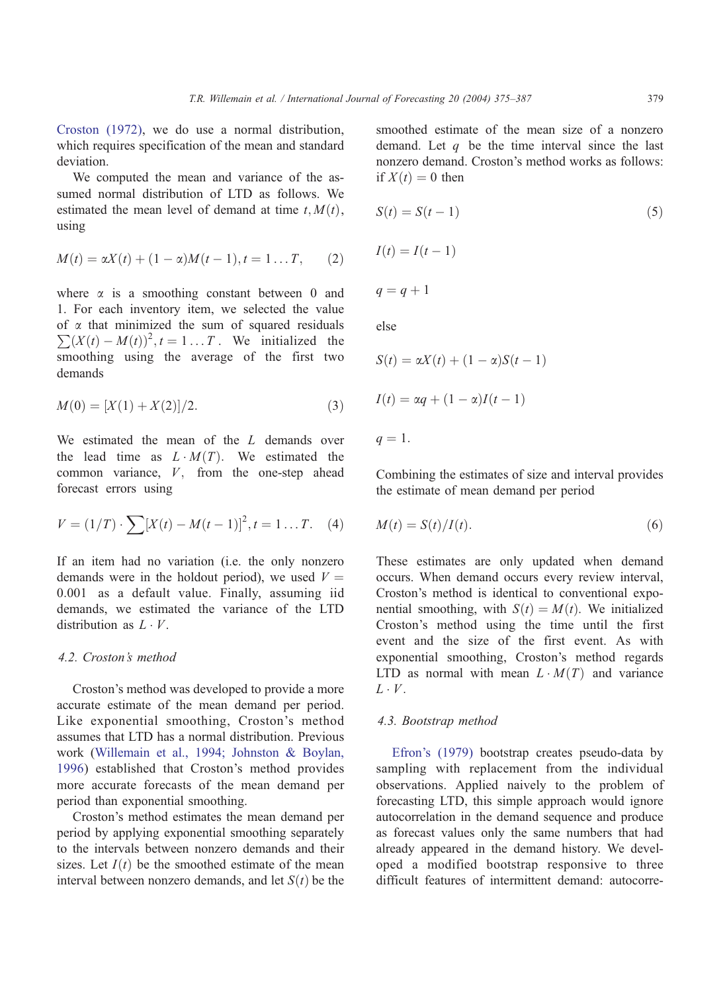[Croston \(1972\),](#page-11-0) we do use a normal distribution, which requires specification of the mean and standard deviation.

We computed the mean and variance of the assumed normal distribution of LTD as follows. We estimated the mean level of demand at time  $t, M(t)$ , using

$$
M(t) = \alpha X(t) + (1 - \alpha)M(t - 1), t = 1...T, \qquad (2)
$$

where  $\alpha$  is a smoothing constant between 0 and 1. For each inventory item, we selected the value  $\sum (X(t) - M(t))^2$ ,  $t = 1...T$ . We initialized the of  $\alpha$  that minimized the sum of squared residuals smoothing using the average of the first two demands

$$
M(0) = [X(1) + X(2)]/2.
$$
 (3)

We estimated the mean of the L demands over the lead time as  $L \cdot M(T)$ . We estimated the common variance,  $V$ , from the one-step ahead forecast errors using

$$
V = (1/T) \cdot \sum [X(t) - M(t-1)]^{2}, t = 1...T.
$$
 (4)

If an item had no variation (i.e. the only nonzero demands were in the holdout period), we used  $V =$ 0:001 as a default value. Finally, assuming iid demands, we estimated the variance of the LTD distribution as  $L \cdot V$ .

# 4.2. Croston's method

Croston's method was developed to provide a more accurate estimate of the mean demand per period. Like exponential smoothing, Croston's method assumes that LTD has a normal distribution. Previous work [\(Willemain et al., 1994; Johnston & Boylan,](#page-12-0) 1996) established that Croston's method provides more accurate forecasts of the mean demand per period than exponential smoothing.

Croston's method estimates the mean demand per period by applying exponential smoothing separately to the intervals between nonzero demands and their sizes. Let  $I(t)$  be the smoothed estimate of the mean interval between nonzero demands, and let  $S(t)$  be the smoothed estimate of the mean size of a nonzero demand. Let  $q$  be the time interval since the last nonzero demand. Croston's method works as follows: if  $X(t) = 0$  then

$$
S(t) = S(t - 1)
$$
\n
$$
I(t) = I(t - 1)
$$
\n
$$
q = q + 1
$$
\n(5)

else

$$
S(t) = \alpha X(t) + (1 - \alpha)S(t - 1)
$$

$$
I(t) = \alpha q + (1 - \alpha)I(t - 1)
$$

 $q = 1.$ 

Combining the estimates of size and interval provides the estimate of mean demand per period

$$
M(t) = S(t)/I(t). \tag{6}
$$

These estimates are only updated when demand occurs. When demand occurs every review interval, Croston's method is identical to conventional exponential smoothing, with  $S(t) = M(t)$ . We initialized Croston's method using the time until the first event and the size of the first event. As with exponential smoothing, Croston's method regards LTD as normal with mean  $L \cdot M(T)$  and variance  $L \cdot V$ .

#### 4.3. Bootstrap method

[Efron's \(1979\)](#page-11-0) bootstrap creates pseudo-data by sampling with replacement from the individual observations. Applied naively to the problem of forecasting LTD, this simple approach would ignore autocorrelation in the demand sequence and produce as forecast values only the same numbers that had already appeared in the demand history. We developed a modified bootstrap responsive to three difficult features of intermittent demand: autocorre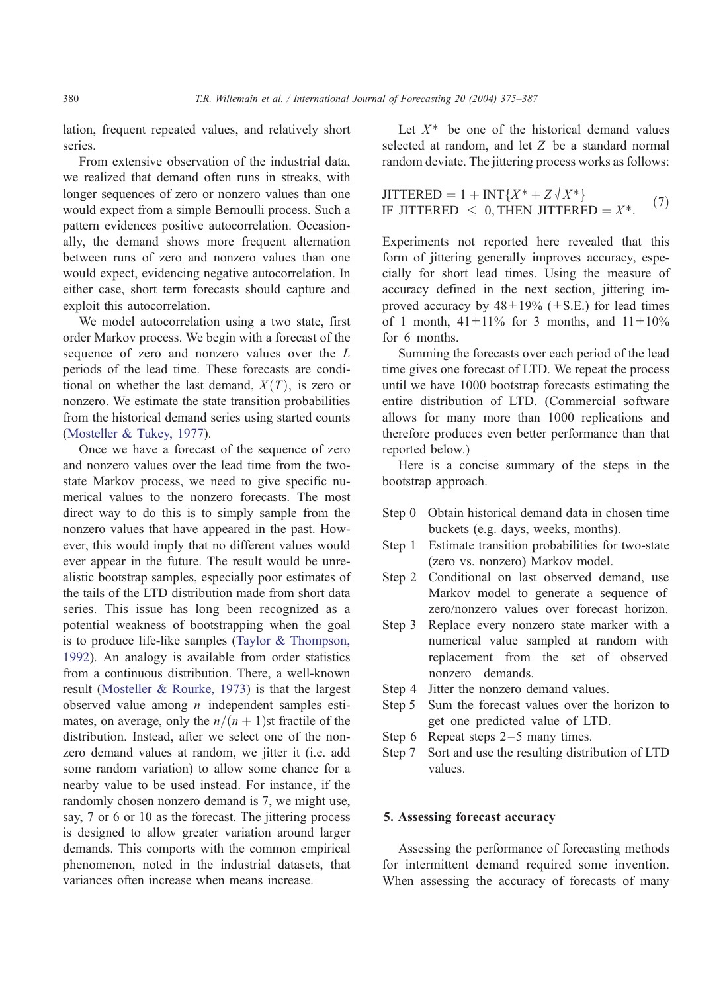lation, frequent repeated values, and relatively short series.

From extensive observation of the industrial data, we realized that demand often runs in streaks, with longer sequences of zero or nonzero values than one would expect from a simple Bernoulli process. Such a pattern evidences positive autocorrelation. Occasionally, the demand shows more frequent alternation between runs of zero and nonzero values than one would expect, evidencing negative autocorrelation. In either case, short term forecasts should capture and exploit this autocorrelation.

We model autocorrelation using a two state, first order Markov process. We begin with a forecast of the sequence of zero and nonzero values over the L periods of the lead time. These forecasts are conditional on whether the last demand,  $X(T)$ , is zero or nonzero. We estimate the state transition probabilities from the historical demand series using started counts ([Mosteller & Tukey, 1977\)](#page-11-0).

Once we have a forecast of the sequence of zero and nonzero values over the lead time from the twostate Markov process, we need to give specific numerical values to the nonzero forecasts. The most direct way to do this is to simply sample from the nonzero values that have appeared in the past. However, this would imply that no different values would ever appear in the future. The result would be unrealistic bootstrap samples, especially poor estimates of the tails of the LTD distribution made from short data series. This issue has long been recognized as a potential weakness of bootstrapping when the goal is to produce life-like samples ([Taylor & Thompson,](#page-11-0) 1992). An analogy is available from order statistics from a continuous distribution. There, a well-known result [\(Mosteller & Rourke, 1973\)](#page-11-0) is that the largest observed value among  $n$  independent samples estimates, on average, only the  $n/(n + 1)$ st fractile of the distribution. Instead, after we select one of the nonzero demand values at random, we jitter it (i.e. add some random variation) to allow some chance for a nearby value to be used instead. For instance, if the randomly chosen nonzero demand is 7, we might use, say, 7 or 6 or 10 as the forecast. The jittering process is designed to allow greater variation around larger demands. This comports with the common empirical phenomenon, noted in the industrial datasets, that variances often increase when means increase.

Let  $X^*$  be one of the historical demand values selected at random, and let Z be a standard normal random deviate. The jittering process works as follows:

JITTERED = 
$$
1 + \text{INT}\{X^* + Z\sqrt{X^*}\}
$$
  
IF JITTERED  $\leq$  0, THEN JITTERED =  $X^*$ . (7)

Experiments not reported here revealed that this form of jittering generally improves accuracy, especially for short lead times. Using the measure of accuracy defined in the next section, jittering improved accuracy by  $48\pm19\%$  ( $\pm$ S.E.) for lead times of 1 month,  $41+11\%$  for 3 months, and  $11+10\%$ for 6 months.

Summing the forecasts over each period of the lead time gives one forecast of LTD. We repeat the process until we have 1000 bootstrap forecasts estimating the entire distribution of LTD. (Commercial software allows for many more than 1000 replications and therefore produces even better performance than that reported below.)

Here is a concise summary of the steps in the bootstrap approach.

- Step 0 Obtain historical demand data in chosen time buckets (e.g. days, weeks, months).
- Step 1 Estimate transition probabilities for two-state (zero vs. nonzero) Markov model.
- Step 2 Conditional on last observed demand, use Markov model to generate a sequence of zero/nonzero values over forecast horizon.
- Step 3 Replace every nonzero state marker with a numerical value sampled at random with replacement from the set of observed nonzero demands.
- Step 4 Jitter the nonzero demand values.
- Step 5 Sum the forecast values over the horizon to get one predicted value of LTD.
- Step 6 Repeat steps  $2-5$  many times.
- Step 7 Sort and use the resulting distribution of LTD values.

# 5. Assessing forecast accuracy

Assessing the performance of forecasting methods for intermittent demand required some invention. When assessing the accuracy of forecasts of many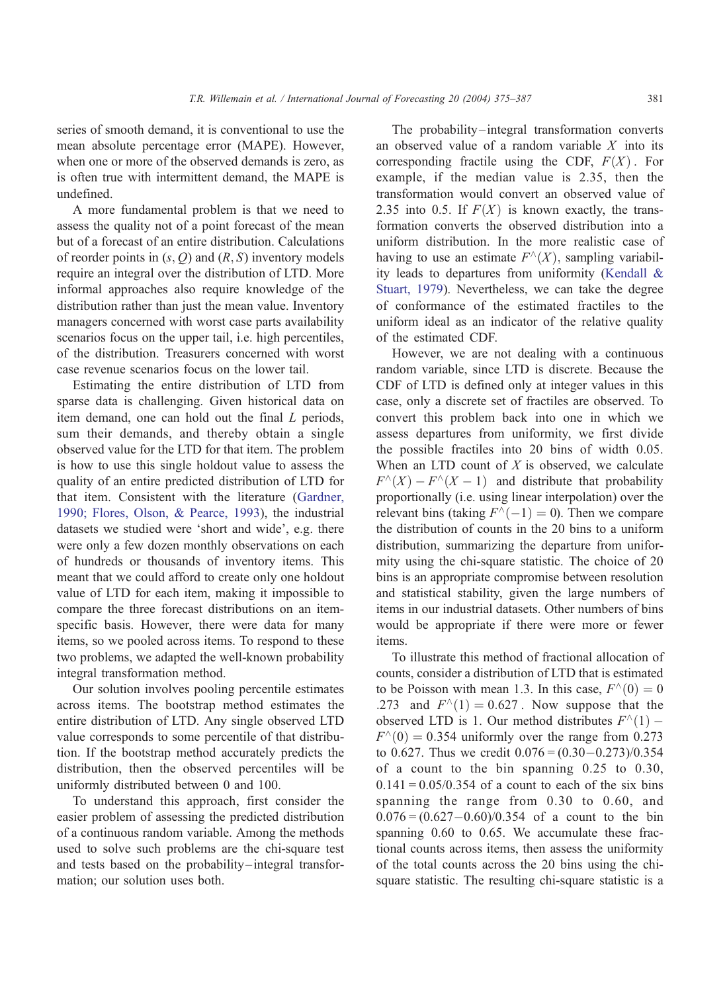series of smooth demand, it is conventional to use the mean absolute percentage error (MAPE). However, when one or more of the observed demands is zero, as is often true with intermittent demand, the MAPE is undefined.

A more fundamental problem is that we need to assess the quality not of a point forecast of the mean but of a forecast of an entire distribution. Calculations of reorder points in  $(s, 0)$  and  $(R, S)$  inventory models require an integral over the distribution of LTD. More informal approaches also require knowledge of the distribution rather than just the mean value. Inventory managers concerned with worst case parts availability scenarios focus on the upper tail, i.e. high percentiles, of the distribution. Treasurers concerned with worst case revenue scenarios focus on the lower tail.

Estimating the entire distribution of LTD from sparse data is challenging. Given historical data on item demand, one can hold out the final L periods, sum their demands, and thereby obtain a single observed value for the LTD for that item. The problem is how to use this single holdout value to assess the quality of an entire predicted distribution of LTD for that item. Consistent with the literature ([Gardner,](#page-11-0) 1990; Flores, Olson, & Pearce, 1993), the industrial datasets we studied were 'short and wide', e.g. there were only a few dozen monthly observations on each of hundreds or thousands of inventory items. This meant that we could afford to create only one holdout value of LTD for each item, making it impossible to compare the three forecast distributions on an itemspecific basis. However, there were data for many items, so we pooled across items. To respond to these two problems, we adapted the well-known probability integral transformation method.

Our solution involves pooling percentile estimates across items. The bootstrap method estimates the entire distribution of LTD. Any single observed LTD value corresponds to some percentile of that distribution. If the bootstrap method accurately predicts the distribution, then the observed percentiles will be uniformly distributed between 0 and 100.

To understand this approach, first consider the easier problem of assessing the predicted distribution of a continuous random variable. Among the methods used to solve such problems are the chi-square test and tests based on the probability –integral transformation; our solution uses both.

The probability –integral transformation converts an observed value of a random variable  $X$  into its corresponding fractile using the CDF,  $F(X)$ . For example, if the median value is 2.35, then the transformation would convert an observed value of 2.35 into 0.5. If  $F(X)$  is known exactly, the transformation converts the observed distribution into a uniform distribution. In the more realistic case of having to use an estimate  $F^{\wedge}(X)$ , sampling variability leads to departures from uniformity ([Kendall &](#page-11-0) Stuart, 1979). Nevertheless, we can take the degree of conformance of the estimated fractiles to the uniform ideal as an indicator of the relative quality of the estimated CDF.

However, we are not dealing with a continuous random variable, since LTD is discrete. Because the CDF of LTD is defined only at integer values in this case, only a discrete set of fractiles are observed. To convert this problem back into one in which we assess departures from uniformity, we first divide the possible fractiles into 20 bins of width 0.05. When an LTD count of  $X$  is observed, we calculate  $F^{\wedge}(X) - F^{\wedge}(X - 1)$  and distribute that probability proportionally (i.e. using linear interpolation) over the relevant bins (taking  $F^{\wedge}(-1)=0$ ). Then we compare the distribution of counts in the 20 bins to a uniform distribution, summarizing the departure from uniformity using the chi-square statistic. The choice of 20 bins is an appropriate compromise between resolution and statistical stability, given the large numbers of items in our industrial datasets. Other numbers of bins would be appropriate if there were more or fewer items.

To illustrate this method of fractional allocation of counts, consider a distribution of LTD that is estimated to be Poisson with mean 1.3. In this case,  $F^{\wedge}(0) = 0$ :273 and  $F^{\wedge}(1) = 0.627$ . Now suppose that the observed LTD is 1. Our method distributes  $F^{\wedge}(1)$  –  $F^{\wedge}(0) = 0.354$  uniformly over the range from 0.273 to 0.627. Thus we credit  $0.076 = (0.30 - 0.273)/0.354$ of a count to the bin spanning 0.25 to 0.30,  $0.141 = 0.05/0.354$  of a count to each of the six bins spanning the range from 0.30 to 0.60, and  $0.076 = (0.627 - 0.60)/0.354$  of a count to the bin spanning 0.60 to 0.65. We accumulate these fractional counts across items, then assess the uniformity of the total counts across the 20 bins using the chisquare statistic. The resulting chi-square statistic is a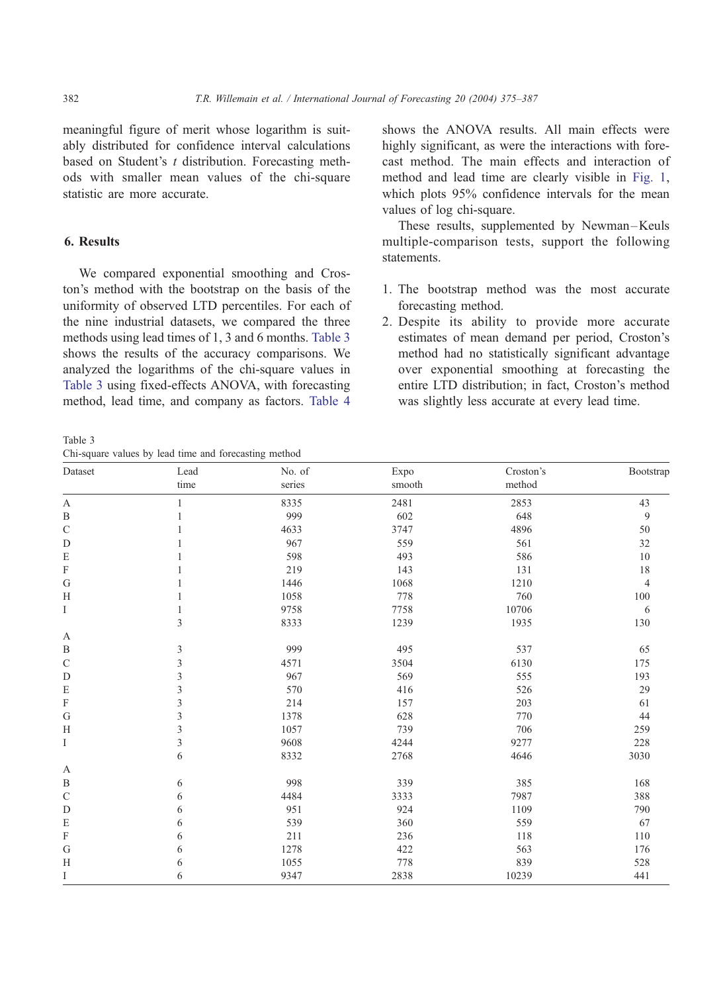meaningful figure of merit whose logarithm is suitably distributed for confidence interval calculations based on Student's *t* distribution. Forecasting methods with smaller mean values of the chi-square statistic are more accurate.

# 6. Results

We compared exponential smoothing and Croston's method with the bootstrap on the basis of the uniformity of observed LTD percentiles. For each of the nine industrial datasets, we compared the three methods using lead times of 1, 3 and 6 months. Table 3 shows the results of the accuracy comparisons. We analyzed the logarithms of the chi-square values in Table 3 using fixed-effects ANOVA, with forecasting method, lead time, and company as factors. [Table 4](#page-8-0)

Table 3 Chi-square values by lead time and forecasting method

shows the ANOVA results. All main effects were highly significant, as were the interactions with forecast method. The main effects and interaction of method and lead time are clearly visible in [Fig. 1,](#page-8-0) which plots 95% confidence intervals for the mean values of log chi-square.

These results, supplemented by Newman–Keuls multiple-comparison tests, support the following statements.

- 1. The bootstrap method was the most accurate forecasting method.
- 2. Despite its ability to provide more accurate estimates of mean demand per period, Croston's method had no statistically significant advantage over exponential smoothing at forecasting the entire LTD distribution; in fact, Croston's method was slightly less accurate at every lead time.

| Dataset                   | Lead           | No. of | Expo   | Croston's | Bootstrap      |
|---------------------------|----------------|--------|--------|-----------|----------------|
|                           | time           | series | smooth | method    |                |
| $\boldsymbol{A}$          | 1              | 8335   | 2481   | 2853      | 43             |
| B                         |                | 999    | 602    | 648       | 9              |
| $\mathbf C$               |                | 4633   | 3747   | 4896      | 50             |
| D                         |                | 967    | 559    | 561       | 32             |
| E                         |                | 598    | 493    | 586       | $10\,$         |
| $\mathbf F$               |                | 219    | 143    | 131       | 18             |
| G                         |                | 1446   | 1068   | 1210      | $\overline{4}$ |
| H                         |                | 1058   | 778    | 760       | 100            |
| Ι                         | 1              | 9758   | 7758   | 10706     | 6              |
|                           | 3              | 8333   | 1239   | 1935      | 130            |
| А                         |                |        |        |           |                |
| B                         | 3              | 999    | 495    | 537       | 65             |
| $\mathsf C$               | $\sqrt{3}$     | 4571   | 3504   | 6130      | 175            |
| D                         | 3              | 967    | 569    | 555       | 193            |
| $\mathbf E$               | 3              | 570    | 416    | 526       | 29             |
| $\mathbf F$               | 3              | 214    | 157    | 203       | 61             |
| $\mathbf G$               | 3              | 1378   | 628    | 770       | 44             |
| Η                         | 3              | 1057   | 739    | 706       | 259            |
| Ι                         | $\mathfrak{Z}$ | 9608   | 4244   | 9277      | 228            |
|                           | 6              | 8332   | 2768   | 4646      | 3030           |
| A                         |                |        |        |           |                |
| $\, {\bf B}$              | 6              | 998    | 339    | 385       | 168            |
| $\mathsf{C}$              | 6              | 4484   | 3333   | 7987      | 388            |
| D                         | 6              | 951    | 924    | 1109      | 790            |
| $\mathbf E$               | 6              | 539    | 360    | 559       | 67             |
| $\boldsymbol{\mathrm{F}}$ | 6              | 211    | 236    | 118       | 110            |
| G                         | 6              | 1278   | 422    | 563       | 176            |
| H                         | 6              | 1055   | 778    | 839       | 528            |
| Ι                         | 6              | 9347   | 2838   | 10239     | 441            |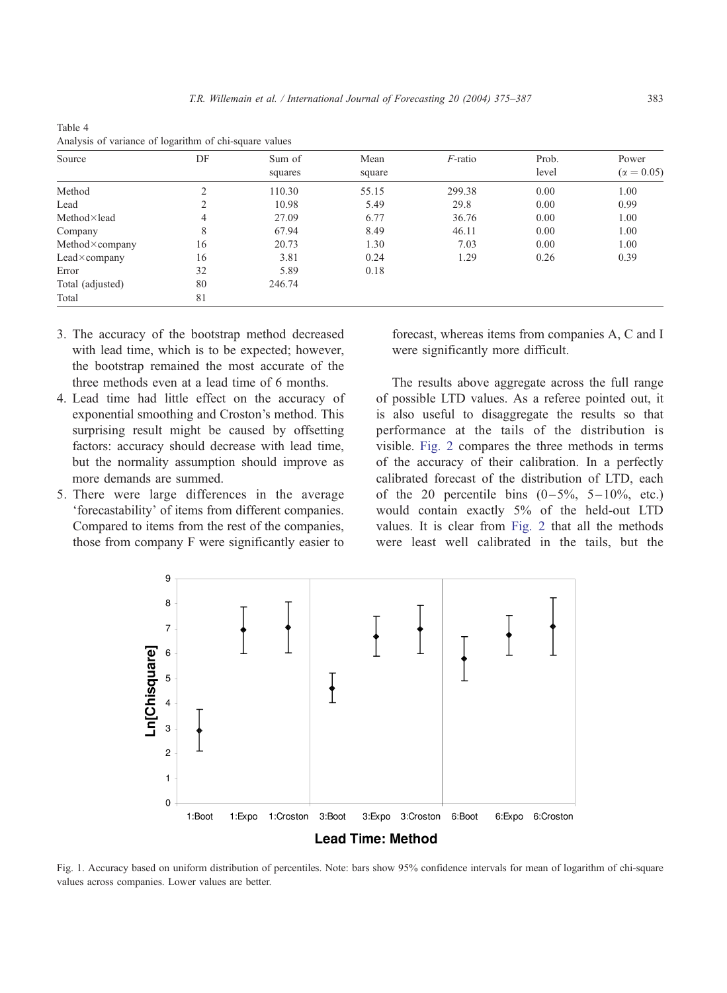| Source                | DF         | Sum of<br>squares | Mean<br>square | <i>F</i> -ratio | Prob.<br>level | Power<br>$(\alpha = 0.05)$ |
|-----------------------|------------|-------------------|----------------|-----------------|----------------|----------------------------|
|                       |            |                   |                |                 |                |                            |
| Method                | $\bigcirc$ | 110.30            | 55.15          | 299.38          | 0.00           | 1.00                       |
| Lead                  | C          | 10.98             | 5.49           | 29.8            | 0.00           | 0.99                       |
| Method $\times$ lead  | 4          | 27.09             | 6.77           | 36.76           | 0.00           | 1.00                       |
| Company               | 8          | 67.94             | 8.49           | 46.11           | 0.00           | 1.00                       |
| Method×company        | 16         | 20.73             | 1.30           | 7.03            | 0.00           | 1.00                       |
| $Lead \times company$ | 16         | 3.81              | 0.24           | 1.29            | 0.26           | 0.39                       |
| Error                 | 32         | 5.89              | 0.18           |                 |                |                            |
| Total (adjusted)      | 80         | 246.74            |                |                 |                |                            |
| Total                 | 81         |                   |                |                 |                |                            |

<span id="page-8-0"></span>Table 4 Analysis of variance of logarithm of chi-square values

- 3. The accuracy of the bootstrap method decreased with lead time, which is to be expected; however, the bootstrap remained the most accurate of the three methods even at a lead time of 6 months.
- 4. Lead time had little effect on the accuracy of exponential smoothing and Croston's method. This surprising result might be caused by offsetting factors: accuracy should decrease with lead time, but the normality assumption should improve as more demands are summed.
- 5. There were large differences in the average 'forecastability' of items from different companies. Compared to items from the rest of the companies, those from company F were significantly easier to

forecast, whereas items from companies A, C and I were significantly more difficult.

The results above aggregate across the full range of possible LTD values. As a referee pointed out, it is also useful to disaggregate the results so that performance at the tails of the distribution is visible. [Fig. 2](#page-9-0) compares the three methods in terms of the accuracy of their calibration. In a perfectly calibrated forecast of the distribution of LTD, each of the 20 percentile bins  $(0-5\%, 5-10\%,$  etc.) would contain exactly 5% of the held-out LTD values. It is clear from [Fig. 2](#page-9-0) that all the methods were least well calibrated in the tails, but the



Fig. 1. Accuracy based on uniform distribution of percentiles. Note: bars show 95% confidence intervals for mean of logarithm of chi-square values across companies. Lower values are better.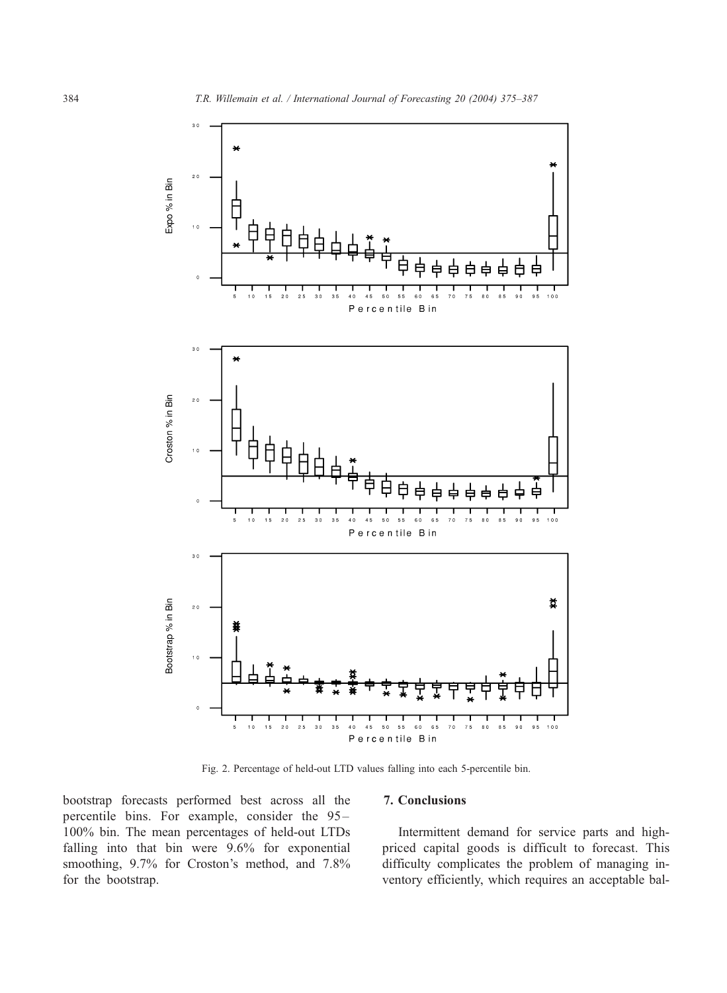<span id="page-9-0"></span>

Fig. 2. Percentage of held-out LTD values falling into each 5-percentile bin.

bootstrap forecasts performed best across all the percentile bins. For example, consider the 95-100% bin. The mean percentages of held-out LTDs falling into that bin were 9.6% for exponential smoothing, 9.7% for Croston's method, and 7.8% for the bootstrap.

### 7. Conclusions

Intermittent demand for service parts and highpriced capital goods is difficult to forecast. This difficulty complicates the problem of managing inventory efficiently, which requires an acceptable bal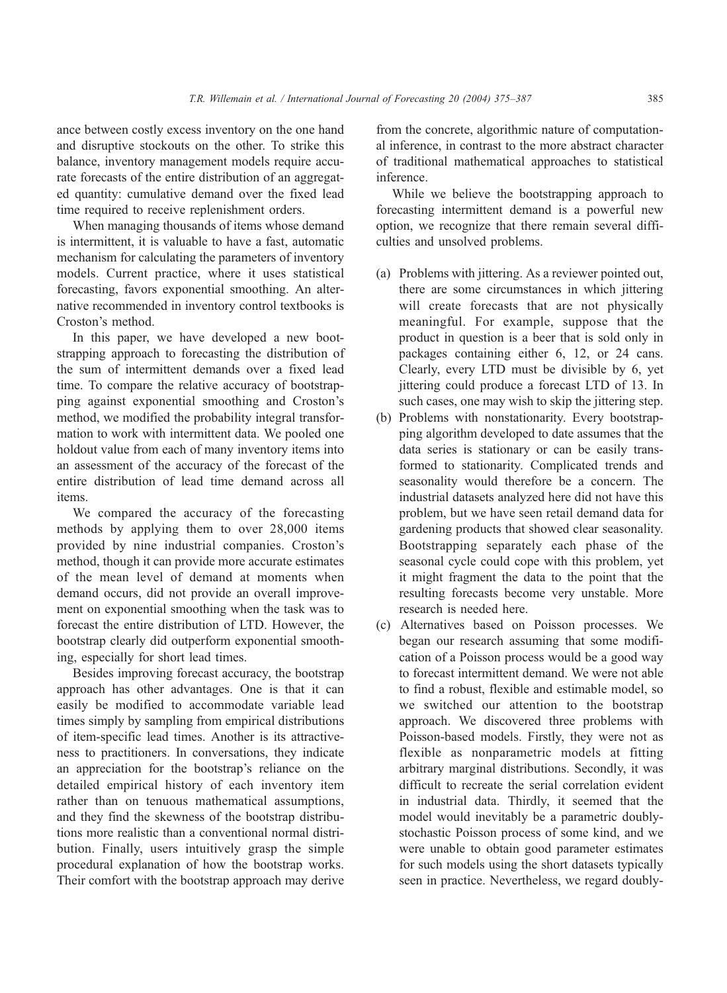ance between costly excess inventory on the one hand and disruptive stockouts on the other. To strike this balance, inventory management models require accurate forecasts of the entire distribution of an aggregated quantity: cumulative demand over the fixed lead time required to receive replenishment orders.

When managing thousands of items whose demand is intermittent, it is valuable to have a fast, automatic mechanism for calculating the parameters of inventory models. Current practice, where it uses statistical forecasting, favors exponential smoothing. An alternative recommended in inventory control textbooks is Croston's method.

In this paper, we have developed a new bootstrapping approach to forecasting the distribution of the sum of intermittent demands over a fixed lead time. To compare the relative accuracy of bootstrapping against exponential smoothing and Croston's method, we modified the probability integral transformation to work with intermittent data. We pooled one holdout value from each of many inventory items into an assessment of the accuracy of the forecast of the entire distribution of lead time demand across all items.

We compared the accuracy of the forecasting methods by applying them to over 28,000 items provided by nine industrial companies. Croston's method, though it can provide more accurate estimates of the mean level of demand at moments when demand occurs, did not provide an overall improvement on exponential smoothing when the task was to forecast the entire distribution of LTD. However, the bootstrap clearly did outperform exponential smoothing, especially for short lead times.

Besides improving forecast accuracy, the bootstrap approach has other advantages. One is that it can easily be modified to accommodate variable lead times simply by sampling from empirical distributions of item-specific lead times. Another is its attractiveness to practitioners. In conversations, they indicate an appreciation for the bootstrap's reliance on the detailed empirical history of each inventory item rather than on tenuous mathematical assumptions, and they find the skewness of the bootstrap distributions more realistic than a conventional normal distribution. Finally, users intuitively grasp the simple procedural explanation of how the bootstrap works. Their comfort with the bootstrap approach may derive

from the concrete, algorithmic nature of computational inference, in contrast to the more abstract character of traditional mathematical approaches to statistical inference.

While we believe the bootstrapping approach to forecasting intermittent demand is a powerful new option, we recognize that there remain several difficulties and unsolved problems.

- (a) Problems with jittering. As a reviewer pointed out, there are some circumstances in which jittering will create forecasts that are not physically meaningful. For example, suppose that the product in question is a beer that is sold only in packages containing either 6, 12, or 24 cans. Clearly, every LTD must be divisible by 6, yet jittering could produce a forecast LTD of 13. In such cases, one may wish to skip the jittering step.
- (b) Problems with nonstationarity. Every bootstrapping algorithm developed to date assumes that the data series is stationary or can be easily transformed to stationarity. Complicated trends and seasonality would therefore be a concern. The industrial datasets analyzed here did not have this problem, but we have seen retail demand data for gardening products that showed clear seasonality. Bootstrapping separately each phase of the seasonal cycle could cope with this problem, yet it might fragment the data to the point that the resulting forecasts become very unstable. More research is needed here.
- (c) Alternatives based on Poisson processes. We began our research assuming that some modification of a Poisson process would be a good way to forecast intermittent demand. We were not able to find a robust, flexible and estimable model, so we switched our attention to the bootstrap approach. We discovered three problems with Poisson-based models. Firstly, they were not as flexible as nonparametric models at fitting arbitrary marginal distributions. Secondly, it was difficult to recreate the serial correlation evident in industrial data. Thirdly, it seemed that the model would inevitably be a parametric doublystochastic Poisson process of some kind, and we were unable to obtain good parameter estimates for such models using the short datasets typically seen in practice. Nevertheless, we regard doubly-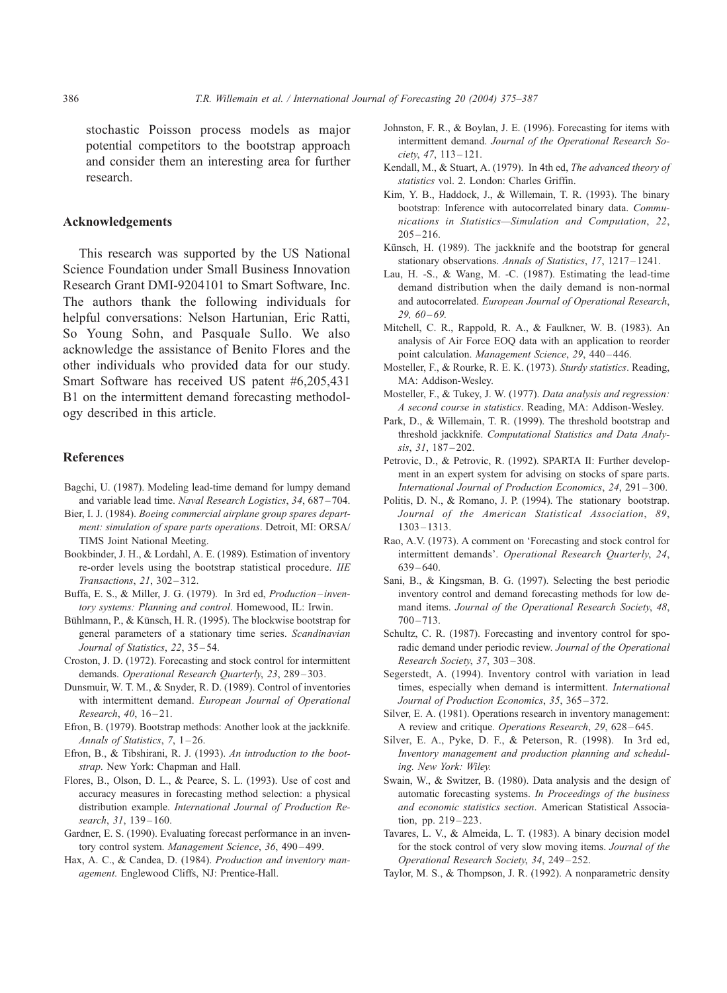<span id="page-11-0"></span>stochastic Poisson process models as major potential competitors to the bootstrap approach and consider them an interesting area for further research.

#### Acknowledgements

This research was supported by the US National Science Foundation under Small Business Innovation Research Grant DMI-9204101 to Smart Software, Inc. The authors thank the following individuals for helpful conversations: Nelson Hartunian, Eric Ratti, So Young Sohn, and Pasquale Sullo. We also acknowledge the assistance of Benito Flores and the other individuals who provided data for our study. Smart Software has received US patent #6,205,431 B1 on the intermittent demand forecasting methodology described in this article.

## References

- Bagchi, U. (1987). Modeling lead-time demand for lumpy demand and variable lead time. Naval Research Logistics, 34, 687 – 704.
- Bier, I. J. (1984). Boeing commercial airplane group spares department: simulation of spare parts operations. Detroit, MI: ORSA/ TIMS Joint National Meeting.
- Bookbinder, J. H., & Lordahl, A. E. (1989). Estimation of inventory re-order levels using the bootstrap statistical procedure. IIE Transactions, 21, 302 – 312.
- Buffa, E. S., & Miller, J. G. (1979). In 3rd ed, Production –inventory systems: Planning and control. Homewood, IL: Irwin.
- Bühlmann, P., & Künsch, H. R. (1995). The blockwise bootstrap for general parameters of a stationary time series. Scandinavian Journal of Statistics, 22, 35 – 54.
- Croston, J. D. (1972). Forecasting and stock control for intermittent demands. Operational Research Quarterly, 23, 289-303.
- Dunsmuir, W. T. M., & Snyder, R. D. (1989). Control of inventories with intermittent demand. European Journal of Operational Research, 40, 16-21.
- Efron, B. (1979). Bootstrap methods: Another look at the jackknife. Annals of Statistics,  $7, 1-26$ .
- Efron, B., & Tibshirani, R. J. (1993). An introduction to the bootstrap. New York: Chapman and Hall.
- Flores, B., Olson, D. L., & Pearce, S. L. (1993). Use of cost and accuracy measures in forecasting method selection: a physical distribution example. International Journal of Production Research, 31, 139-160.
- Gardner, E. S. (1990). Evaluating forecast performance in an inventory control system. Management Science, 36, 490-499.
- Hax, A. C., & Candea, D. (1984). Production and inventory management. Englewood Cliffs, NJ: Prentice-Hall.
- Johnston, F. R., & Boylan, J. E. (1996). Forecasting for items with intermittent demand. Journal of the Operational Research Society, 47, 113 – 121.
- Kendall, M., & Stuart, A. (1979). In 4th ed, The advanced theory of statistics vol. 2. London: Charles Griffin.
- Kim, Y. B., Haddock, J., & Willemain, T. R. (1993). The binary bootstrap: Inference with autocorrelated binary data. Communications in Statistics—Simulation and Computation, 22,  $205 - 216$ .
- Künsch, H. (1989). The jackknife and the bootstrap for general stationary observations. Annals of Statistics, 17, 1217 – 1241.
- Lau, H. -S., & Wang, M. -C. (1987). Estimating the lead-time demand distribution when the daily demand is non-normal and autocorrelated. European Journal of Operational Research,  $29,60 - 69.$
- Mitchell, C. R., Rappold, R. A., & Faulkner, W. B. (1983). An analysis of Air Force EOQ data with an application to reorder point calculation. Management Science, 29, 440-446.
- Mosteller, F., & Rourke, R. E. K. (1973). Sturdy statistics. Reading, MA: Addison-Wesley.
- Mosteller, F., & Tukey, J. W. (1977). Data analysis and regression: A second course in statistics. Reading, MA: Addison-Wesley.
- Park, D., & Willemain, T. R. (1999). The threshold bootstrap and threshold jackknife. Computational Statistics and Data Analysis, 31, 187 – 202.
- Petrovic, D., & Petrovic, R. (1992). SPARTA II: Further development in an expert system for advising on stocks of spare parts. International Journal of Production Economics, 24, 291 – 300.
- Politis, D. N., & Romano, J. P. (1994). The stationary bootstrap. Journal of the American Statistical Association, 89, 1303 – 1313.
- Rao, A.V. (1973). A comment on 'Forecasting and stock control for intermittent demands'. Operational Research Quarterly, 24,  $639 - 640.$
- Sani, B., & Kingsman, B. G. (1997). Selecting the best periodic inventory control and demand forecasting methods for low demand items. Journal of the Operational Research Society, 48,  $700 - 713$
- Schultz, C. R. (1987). Forecasting and inventory control for sporadic demand under periodic review. Journal of the Operational Research Society, 37, 303 – 308.
- Segerstedt, A. (1994). Inventory control with variation in lead times, especially when demand is intermittent. International Journal of Production Economics, 35, 365 – 372.
- Silver, E. A. (1981). Operations research in inventory management: A review and critique. Operations Research, 29, 628 – 645.
- Silver, E. A., Pyke, D. F., & Peterson, R. (1998). In 3rd ed, Inventory management and production planning and scheduling. New York: Wiley.
- Swain, W., & Switzer, B. (1980). Data analysis and the design of automatic forecasting systems. In Proceedings of the business and economic statistics section. American Statistical Association, pp. 219 – 223.
- Tavares, L. V., & Almeida, L. T. (1983). A binary decision model for the stock control of very slow moving items. Journal of the Operational Research Society, 34, 249 – 252.
- Taylor, M. S., & Thompson, J. R. (1992). A nonparametric density